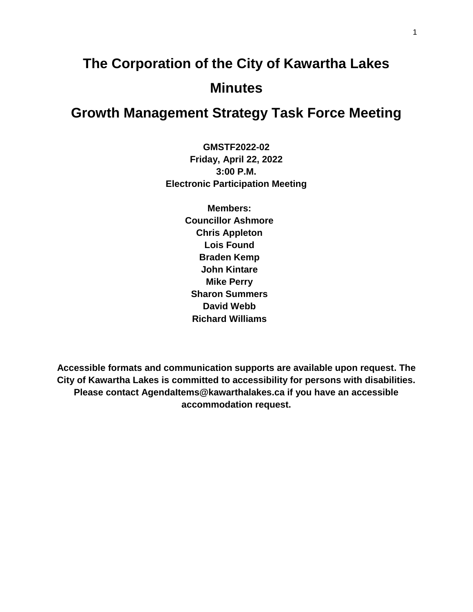# **The Corporation of the City of Kawartha Lakes Minutes**

# **Growth Management Strategy Task Force Meeting**

**GMSTF2022-02 Friday, April 22, 2022 3:00 P.M. Electronic Participation Meeting**

> **Members: Councillor Ashmore Chris Appleton Lois Found Braden Kemp John Kintare Mike Perry Sharon Summers David Webb Richard Williams**

**Accessible formats and communication supports are available upon request. The City of Kawartha Lakes is committed to accessibility for persons with disabilities. Please contact AgendaItems@kawarthalakes.ca if you have an accessible accommodation request.**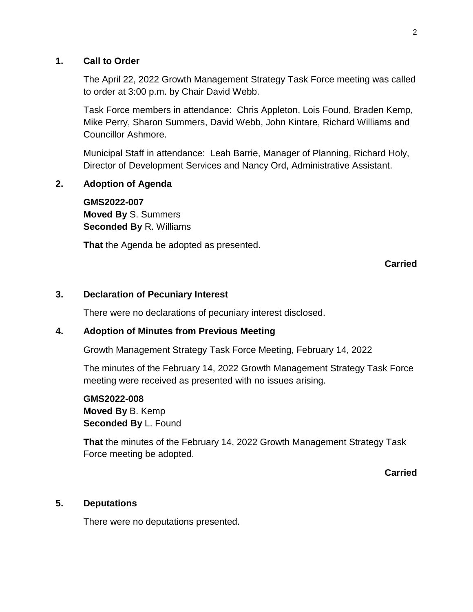#### **1. Call to Order**

The April 22, 2022 Growth Management Strategy Task Force meeting was called to order at 3:00 p.m. by Chair David Webb.

Task Force members in attendance: Chris Appleton, Lois Found, Braden Kemp, Mike Perry, Sharon Summers, David Webb, John Kintare, Richard Williams and Councillor Ashmore.

Municipal Staff in attendance: Leah Barrie, Manager of Planning, Richard Holy, Director of Development Services and Nancy Ord, Administrative Assistant.

## **2. Adoption of Agenda**

**GMS2022-007 Moved By** S. Summers **Seconded By** R. Williams

**That** the Agenda be adopted as presented.

**Carried**

#### **3. Declaration of Pecuniary Interest**

There were no declarations of pecuniary interest disclosed.

#### **4. Adoption of Minutes from Previous Meeting**

Growth Management Strategy Task Force Meeting, February 14, 2022

The minutes of the February 14, 2022 Growth Management Strategy Task Force meeting were received as presented with no issues arising.

# **GMS2022-008 Moved By** B. Kemp **Seconded By** L. Found

**That** the minutes of the February 14, 2022 Growth Management Strategy Task Force meeting be adopted.

**Carried**

#### **5. Deputations**

There were no deputations presented.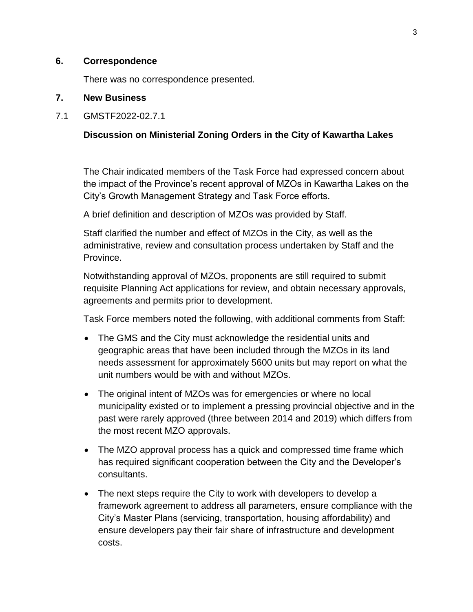#### **6. Correspondence**

There was no correspondence presented.

#### **7. New Business**

7.1 GMSTF2022-02.7.1

## **Discussion on Ministerial Zoning Orders in the City of Kawartha Lakes**

The Chair indicated members of the Task Force had expressed concern about the impact of the Province's recent approval of MZOs in Kawartha Lakes on the City's Growth Management Strategy and Task Force efforts.

A brief definition and description of MZOs was provided by Staff.

Staff clarified the number and effect of MZOs in the City, as well as the administrative, review and consultation process undertaken by Staff and the Province.

Notwithstanding approval of MZOs, proponents are still required to submit requisite Planning Act applications for review, and obtain necessary approvals, agreements and permits prior to development.

Task Force members noted the following, with additional comments from Staff:

- The GMS and the City must acknowledge the residential units and geographic areas that have been included through the MZOs in its land needs assessment for approximately 5600 units but may report on what the unit numbers would be with and without MZOs.
- The original intent of MZOs was for emergencies or where no local municipality existed or to implement a pressing provincial objective and in the past were rarely approved (three between 2014 and 2019) which differs from the most recent MZO approvals.
- The MZO approval process has a quick and compressed time frame which has required significant cooperation between the City and the Developer's consultants.
- The next steps require the City to work with developers to develop a framework agreement to address all parameters, ensure compliance with the City's Master Plans (servicing, transportation, housing affordability) and ensure developers pay their fair share of infrastructure and development costs.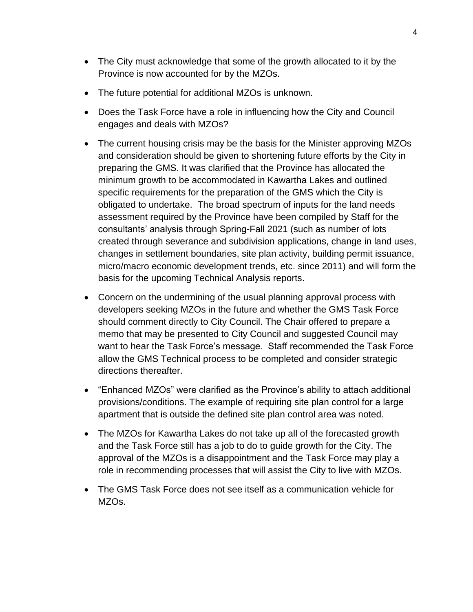- The City must acknowledge that some of the growth allocated to it by the Province is now accounted for by the MZOs.
- The future potential for additional MZOs is unknown.
- Does the Task Force have a role in influencing how the City and Council engages and deals with MZOs?
- The current housing crisis may be the basis for the Minister approving MZOs and consideration should be given to shortening future efforts by the City in preparing the GMS. It was clarified that the Province has allocated the minimum growth to be accommodated in Kawartha Lakes and outlined specific requirements for the preparation of the GMS which the City is obligated to undertake. The broad spectrum of inputs for the land needs assessment required by the Province have been compiled by Staff for the consultants' analysis through Spring-Fall 2021 (such as number of lots created through severance and subdivision applications, change in land uses, changes in settlement boundaries, site plan activity, building permit issuance, micro/macro economic development trends, etc. since 2011) and will form the basis for the upcoming Technical Analysis reports.
- Concern on the undermining of the usual planning approval process with developers seeking MZOs in the future and whether the GMS Task Force should comment directly to City Council. The Chair offered to prepare a memo that may be presented to City Council and suggested Council may want to hear the Task Force's message. Staff recommended the Task Force allow the GMS Technical process to be completed and consider strategic directions thereafter.
- "Enhanced MZOs" were clarified as the Province's ability to attach additional provisions/conditions. The example of requiring site plan control for a large apartment that is outside the defined site plan control area was noted.
- The MZOs for Kawartha Lakes do not take up all of the forecasted growth and the Task Force still has a job to do to guide growth for the City. The approval of the MZOs is a disappointment and the Task Force may play a role in recommending processes that will assist the City to live with MZOs.
- The GMS Task Force does not see itself as a communication vehicle for MZOs.